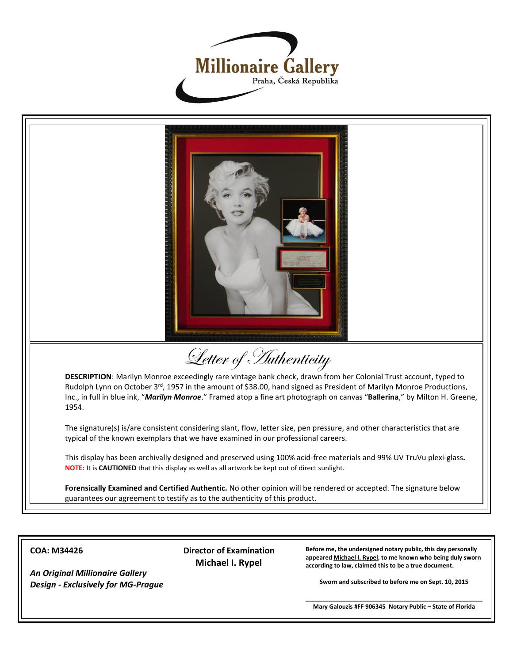



**COA: M34426**

 **Director of Examination Michael I. Rypel**

**Before me, the undersigned notary public, this day personally appeared Michael I. Rypel, to me known who being duly sworn according to law, claimed this to be a true document.**

**Sworn and subscribed to before me on Sept. 10, 2015**

*An Original Millionaire Gallery Design - Exclusively for MG-Prague*

> **\_\_\_\_\_\_\_\_\_\_\_\_\_\_\_\_\_\_\_\_\_\_\_\_\_\_\_\_\_\_\_\_\_\_\_\_\_\_\_\_\_\_\_\_\_\_\_\_\_\_\_\_\_ Mary Galouzis #FF 906345 Notary Public – State of Florida**